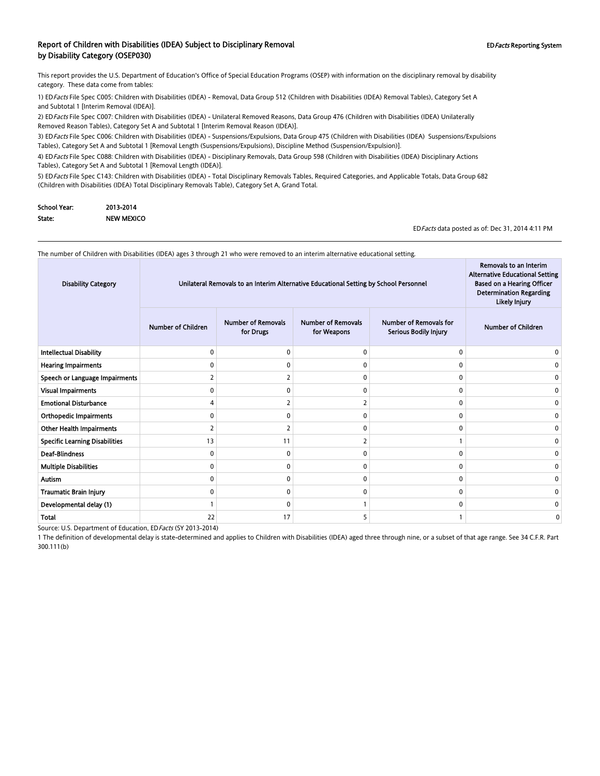#### Report of Children with Disabilities (IDEA) Subject to Disciplinary Removal **EDFacts Reporting System** EDFacts Reporting System by Disability Category (OSEP030)

This report provides the U.S. Department of Education's Office of Special Education Programs (OSEP) with information on the disciplinary removal by disability category. These data come from tables:

1) EDFacts File Spec C005: Children with Disabilities (IDEA) - Removal, Data Group 512 (Children with Disabilities (IDEA) Removal Tables), Category Set A and Subtotal 1 [Interim Removal (IDEA)].

2) EDFacts File Spec C007: Children with Disabilities (IDEA) - Unilateral Removed Reasons, Data Group 476 (Children with Disabilities (IDEA) Unilaterally Removed Reason Tables), Category Set A and Subtotal 1 [Interim Removal Reason (IDEA)].

3) ED Facts File Spec C006: Children with Disabilities (IDEA) - Suspensions/Expulsions, Data Group 475 (Children with Disabilities (IDEA) Suspensions/Expulsions Tables), Category Set A and Subtotal 1 [Removal Length (Suspensions/Expulsions), Discipline Method (Suspension/Expulsion)].

4) EDFacts File Spec C088: Children with Disabilities (IDEA) - Disciplinary Removals, Data Group 598 (Children with Disabilities (IDEA) Disciplinary Actions Tables), Category Set A and Subtotal 1 [Removal Length (IDEA)].

5) ED Facts File Spec C143: Children with Disabilities (IDEA) - Total Disciplinary Removals Tables, Required Categories, and Applicable Totals, Data Group 682 (Children with Disabilities (IDEA) Total Disciplinary Removals Table), Category Set A, Grand Total.

| School Year: | 2013-2014         |
|--------------|-------------------|
| State:       | <b>NEW MEXICO</b> |

EDFacts data posted as of: Dec 31, 2014 4:11 PM

Removals to an Interim

 $\sim$ 

The number of Children with Disabilities (IDEA) ages 3 through 21 who were removed to an interim alternative educational setting.

| <b>Disability Category</b>            | Unilateral Removals to an Interim Alternative Educational Setting by School Personnel |                                        |                                          |                                                        | Removals to an Interim<br><b>Alternative Educational Setting</b><br><b>Based on a Hearing Officer</b><br><b>Determination Regarding</b><br><b>Likely Injury</b> |
|---------------------------------------|---------------------------------------------------------------------------------------|----------------------------------------|------------------------------------------|--------------------------------------------------------|-----------------------------------------------------------------------------------------------------------------------------------------------------------------|
|                                       | <b>Number of Children</b>                                                             | <b>Number of Removals</b><br>for Drugs | <b>Number of Removals</b><br>for Weapons | <b>Number of Removals for</b><br>Serious Bodily Injury | <b>Number of Children</b>                                                                                                                                       |
| <b>Intellectual Disability</b>        | $\mathbf{0}$                                                                          | C                                      | $\Omega$                                 | 0                                                      |                                                                                                                                                                 |
| <b>Hearing Impairments</b>            | 0                                                                                     |                                        | 0                                        | 0                                                      |                                                                                                                                                                 |
| Speech or Language Impairments        | 2                                                                                     |                                        | $\Omega$                                 | 0                                                      |                                                                                                                                                                 |
| <b>Visual Impairments</b>             | $\Omega$                                                                              | $\mathbf{0}$                           | 0                                        | 0                                                      |                                                                                                                                                                 |
| <b>Emotional Disturbance</b>          | 4                                                                                     |                                        | $\overline{2}$                           | 0                                                      |                                                                                                                                                                 |
| <b>Orthopedic Impairments</b>         | 0                                                                                     |                                        | 0                                        | 0                                                      | o                                                                                                                                                               |
| <b>Other Health Impairments</b>       | 2                                                                                     |                                        | 0                                        | $\mathbf{0}$                                           |                                                                                                                                                                 |
| <b>Specific Learning Disabilities</b> | 13                                                                                    | 11                                     | 2                                        | $\mathbf{1}$                                           | 0                                                                                                                                                               |
| <b>Deaf-Blindness</b>                 | $\Omega$                                                                              | $\Omega$                               | 0                                        | 0                                                      | o                                                                                                                                                               |
| <b>Multiple Disabilities</b>          | 0                                                                                     | $\mathbf{0}$                           | 0                                        | 0                                                      |                                                                                                                                                                 |
| <b>Autism</b>                         | 0                                                                                     | n                                      | 0                                        | 0                                                      |                                                                                                                                                                 |
| Traumatic Brain Injury                | 0                                                                                     | n                                      | 0                                        | 0                                                      |                                                                                                                                                                 |
| Developmental delay (1)               |                                                                                       | C                                      |                                          | 0                                                      |                                                                                                                                                                 |
| Total                                 | 22                                                                                    | 17                                     | 5                                        |                                                        | 0                                                                                                                                                               |

Source: U.S. Department of Education, EDFacts (SY 2013-2014)

1 The definition of developmental delay is state-determined and applies to Children with Disabilities (IDEA) aged three through nine, or a subset of that age range. See 34 C.F.R. Part 300.111(b)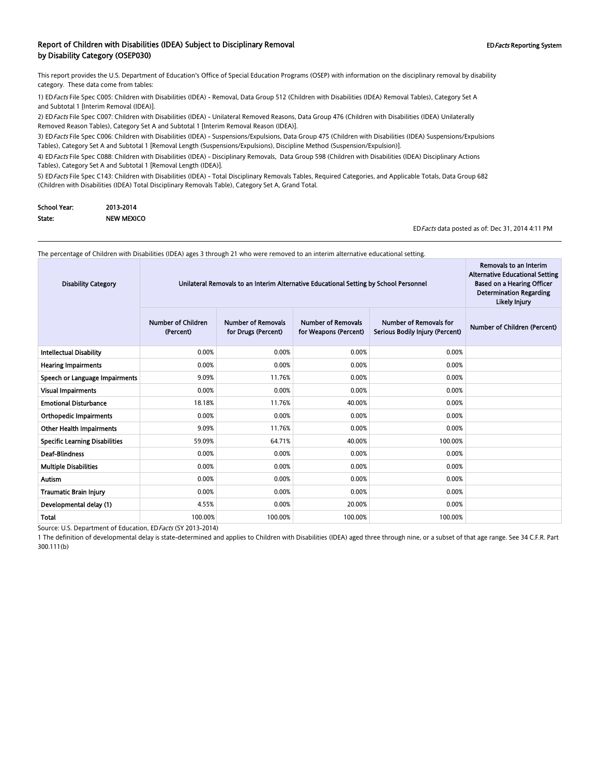#### Report of Children with Disabilities (IDEA) Subject to Disciplinary Removal **EDFacts Reporting System** EDFacts Reporting System by Disability Category (OSEP030)

This report provides the U.S. Department of Education's Office of Special Education Programs (OSEP) with information on the disciplinary removal by disability category. These data come from tables:

1) EDFacts File Spec C005: Children with Disabilities (IDEA) - Removal, Data Group 512 (Children with Disabilities (IDEA) Removal Tables), Category Set A and Subtotal 1 [Interim Removal (IDEA)].

2) EDFacts File Spec C007: Children with Disabilities (IDEA) - Unilateral Removed Reasons, Data Group 476 (Children with Disabilities (IDEA) Unilaterally Removed Reason Tables), Category Set A and Subtotal 1 [Interim Removal Reason (IDEA)].

3) ED Facts File Spec C006: Children with Disabilities (IDEA) - Suspensions/Expulsions, Data Group 475 (Children with Disabilities (IDEA) Suspensions/Expulsions Tables), Category Set A and Subtotal 1 [Removal Length (Suspensions/Expulsions), Discipline Method (Suspension/Expulsion)].

4) EDFacts File Spec C088: Children with Disabilities (IDEA) - Disciplinary Removals, Data Group 598 (Children with Disabilities (IDEA) Disciplinary Actions Tables), Category Set A and Subtotal 1 [Removal Length (IDEA)].

5) ED Facts File Spec C143: Children with Disabilities (IDEA) - Total Disciplinary Removals Tables, Required Categories, and Applicable Totals, Data Group 682 (Children with Disabilities (IDEA) Total Disciplinary Removals Table), Category Set A, Grand Total.

| School Year: | 2013-2014         |
|--------------|-------------------|
| State:       | <b>NEW MEXICO</b> |

EDFacts data posted as of: Dec 31, 2014 4:11 PM

Removals to an Interim

 $\sim$ 

The percentage of Children with Disabilities (IDEA) ages 3 through 21 who were removed to an interim alternative educational setting.

| <b>Disability Category</b>            | Unilateral Removals to an Interim Alternative Educational Setting by School Personnel | Removals to an Interim<br><b>Alternative Educational Setting</b><br><b>Based on a Hearing Officer</b><br><b>Determination Regarding</b><br>Likely Injury |                                                    |                                                                  |                              |
|---------------------------------------|---------------------------------------------------------------------------------------|----------------------------------------------------------------------------------------------------------------------------------------------------------|----------------------------------------------------|------------------------------------------------------------------|------------------------------|
|                                       | <b>Number of Children</b><br>(Percent)                                                | <b>Number of Removals</b><br>for Drugs (Percent)                                                                                                         | <b>Number of Removals</b><br>for Weapons (Percent) | <b>Number of Removals for</b><br>Serious Bodily Injury (Percent) | Number of Children (Percent) |
| <b>Intellectual Disability</b>        | 0.00%                                                                                 | 0.00%                                                                                                                                                    | 0.00%                                              | 0.00%                                                            |                              |
| <b>Hearing Impairments</b>            | 0.00%                                                                                 | 0.00%                                                                                                                                                    | 0.00%                                              | 0.00%                                                            |                              |
| Speech or Language Impairments        | 9.09%                                                                                 | 11.76%                                                                                                                                                   | 0.00%                                              | 0.00%                                                            |                              |
| Visual Impairments                    | 0.00%                                                                                 | 0.00%                                                                                                                                                    | 0.00%                                              | 0.00%                                                            |                              |
| <b>Emotional Disturbance</b>          | 18.18%                                                                                | 11.76%                                                                                                                                                   | 40.00%                                             | 0.00%                                                            |                              |
| <b>Orthopedic Impairments</b>         | 0.00%                                                                                 | 0.00%                                                                                                                                                    | 0.00%                                              | 0.00%                                                            |                              |
| <b>Other Health Impairments</b>       | 9.09%                                                                                 | 11.76%                                                                                                                                                   | 0.00%                                              | 0.00%                                                            |                              |
| <b>Specific Learning Disabilities</b> | 59.09%                                                                                | 64.71%                                                                                                                                                   | 40.00%                                             | 100.00%                                                          |                              |
| <b>Deaf-Blindness</b>                 | 0.00%                                                                                 | 0.00%                                                                                                                                                    | 0.00%                                              | 0.00%                                                            |                              |
| <b>Multiple Disabilities</b>          | 0.00%                                                                                 | 0.00%                                                                                                                                                    | 0.00%                                              | 0.00%                                                            |                              |
| <b>Autism</b>                         | 0.00%                                                                                 | 0.00%                                                                                                                                                    | 0.00%                                              | 0.00%                                                            |                              |
| Traumatic Brain Injury                | 0.00%                                                                                 | 0.00%                                                                                                                                                    | 0.00%                                              | 0.00%                                                            |                              |
| Developmental delay (1)               | 4.55%                                                                                 | 0.00%                                                                                                                                                    | 20.00%                                             | 0.00%                                                            |                              |
| Total                                 | 100.00%                                                                               | 100.00%                                                                                                                                                  | 100.00%                                            | 100.00%                                                          |                              |

Source: U.S. Department of Education, EDFacts (SY 2013-2014)

1 The definition of developmental delay is state-determined and applies to Children with Disabilities (IDEA) aged three through nine, or a subset of that age range. See 34 C.F.R. Part 300.111(b)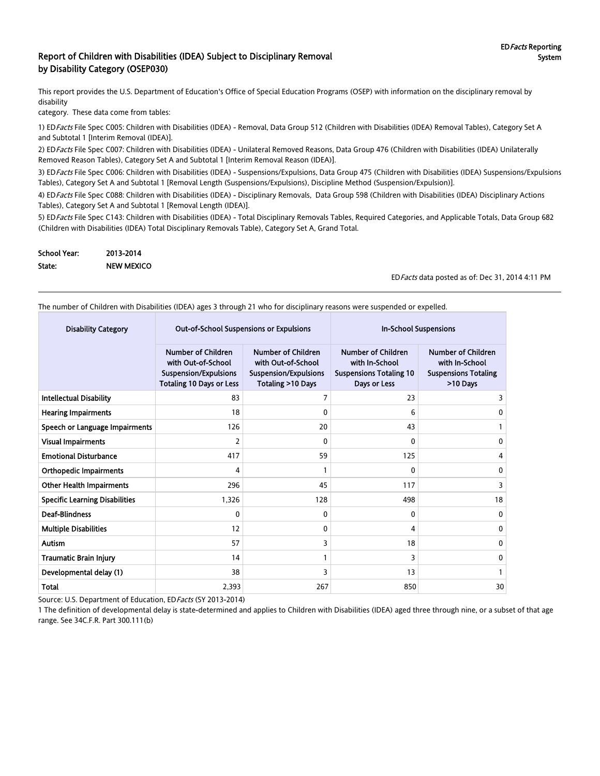#### Report of Children with Disabilities (IDEA) Subject to Disciplinary Removal by Disability Category (OSEP030)

This report provides the U.S. Department of Education's Office of Special Education Programs (OSEP) with information on the disciplinary removal by disability

category. These data come from tables:

1) ED Facts File Spec C005: Children with Disabilities (IDEA) - Removal, Data Group 512 (Children with Disabilities (IDEA) Removal Tables), Category Set A and Subtotal 1 [Interim Removal (IDEA)].

2) EDFacts File Spec C007: Children with Disabilities (IDEA) - Unilateral Removed Reasons, Data Group 476 (Children with Disabilities (IDEA) Unilaterally Removed Reason Tables), Category Set A and Subtotal 1 [Interim Removal Reason (IDEA)].

3) EDFacts File Spec C006: Children with Disabilities (IDEA) - Suspensions/Expulsions, Data Group 475 (Children with Disabilities (IDEA) Suspensions/Expulsions Tables), Category Set A and Subtotal 1 [Removal Length (Suspensions/Expulsions), Discipline Method (Suspension/Expulsion)].

4) EDFacts File Spec C088: Children with Disabilities (IDEA) - Disciplinary Removals, Data Group 598 (Children with Disabilities (IDEA) Disciplinary Actions Tables), Category Set A and Subtotal 1 [Removal Length (IDEA)].

5) ED Facts File Spec C143: Children with Disabilities (IDEA) - Total Disciplinary Removals Tables, Required Categories, and Applicable Totals, Data Group 682 (Children with Disabilities (IDEA) Total Disciplinary Removals Table), Category Set A, Grand Total.

| <b>School Year:</b> | 2013-2014         |
|---------------------|-------------------|
| State:              | <b>NEW MEXICO</b> |

EDFacts data posted as of: Dec 31, 2014 4:11 PM

The number of Children with Disabilities (IDEA) ages 3 through 21 who for disciplinary reasons were suspended or expelled.

| <b>Disability Category</b>            | <b>Out-of-School Suspensions or Expulsions</b>                                                                     |                                                                                                      | <b>In-School Suspensions</b>                                                                  |                                                                                        |
|---------------------------------------|--------------------------------------------------------------------------------------------------------------------|------------------------------------------------------------------------------------------------------|-----------------------------------------------------------------------------------------------|----------------------------------------------------------------------------------------|
|                                       | <b>Number of Children</b><br>with Out-of-School<br><b>Suspension/Expulsions</b><br><b>Totaling 10 Days or Less</b> | <b>Number of Children</b><br>with Out-of-School<br><b>Suspension/Expulsions</b><br>Totaling >10 Days | <b>Number of Children</b><br>with In-School<br><b>Suspensions Totaling 10</b><br>Days or Less | <b>Number of Children</b><br>with In-School<br><b>Suspensions Totaling</b><br>>10 Days |
| <b>Intellectual Disability</b>        | 83                                                                                                                 |                                                                                                      | 23                                                                                            | 3                                                                                      |
| <b>Hearing Impairments</b>            | 18                                                                                                                 | 0                                                                                                    | 6                                                                                             | 0                                                                                      |
| Speech or Language Impairments        | 126                                                                                                                | 20                                                                                                   | 43                                                                                            |                                                                                        |
| <b>Visual Impairments</b>             | 2                                                                                                                  | 0                                                                                                    | $\Omega$                                                                                      | 0                                                                                      |
| <b>Emotional Disturbance</b>          | 417                                                                                                                | 59                                                                                                   | 125                                                                                           | 4                                                                                      |
| <b>Orthopedic Impairments</b>         | 4                                                                                                                  |                                                                                                      | $\Omega$                                                                                      | 0                                                                                      |
| <b>Other Health Impairments</b>       | 296                                                                                                                | 45                                                                                                   | 117                                                                                           | 3                                                                                      |
| <b>Specific Learning Disabilities</b> | 1,326                                                                                                              | 128                                                                                                  | 498                                                                                           | 18                                                                                     |
| <b>Deaf-Blindness</b>                 | $\Omega$                                                                                                           | 0                                                                                                    | $\Omega$                                                                                      | $\mathbf{0}$                                                                           |
| <b>Multiple Disabilities</b>          | 12                                                                                                                 | 0                                                                                                    | 4                                                                                             | $\mathbf{0}$                                                                           |
| Autism                                | 57                                                                                                                 | 3                                                                                                    | 18                                                                                            | 0                                                                                      |
| <b>Traumatic Brain Injury</b>         | 14                                                                                                                 |                                                                                                      | 3                                                                                             | $\mathbf{0}$                                                                           |
| Developmental delay (1)               | 38                                                                                                                 | 3                                                                                                    | 13                                                                                            |                                                                                        |
| <b>Total</b>                          | 2,393                                                                                                              | 267                                                                                                  | 850                                                                                           | 30                                                                                     |

Source: U.S. Department of Education, ED Facts (SY 2013-2014)

1 The definition of developmental delay is state-determined and applies to Children with Disabilities (IDEA) aged three through nine, or a subset of that age range. See 34C.F.R. Part 300.111(b)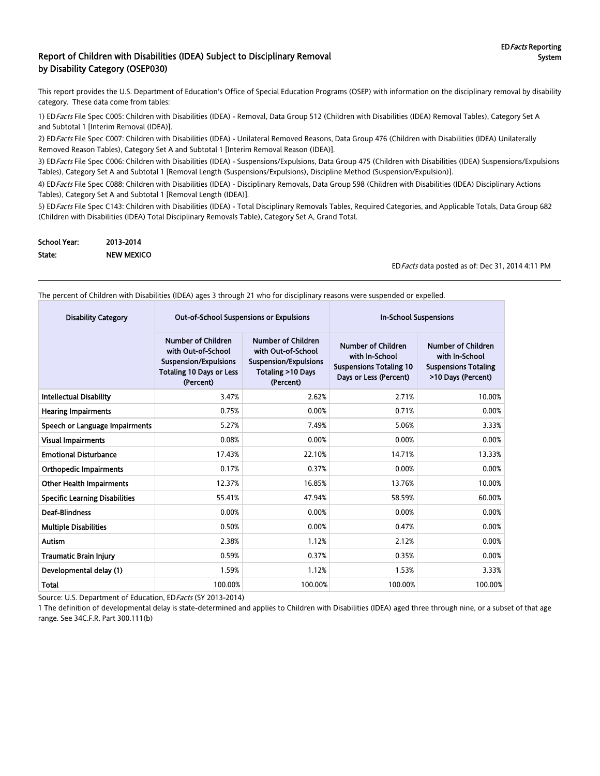#### Report of Children with Disabilities (IDEA) Subject to Disciplinary Removal by Disability Category (OSEP030)

This report provides the U.S. Department of Education's Office of Special Education Programs (OSEP) with information on the disciplinary removal by disability category. These data come from tables:

1) EDFacts File Spec C005: Children with Disabilities (IDEA) - Removal, Data Group 512 (Children with Disabilities (IDEA) Removal Tables), Category Set A and Subtotal 1 [Interim Removal (IDEA)].

2) ED Facts File Spec C007: Children with Disabilities (IDEA) - Unilateral Removed Reasons, Data Group 476 (Children with Disabilities (IDEA) Unilaterally Removed Reason Tables), Category Set A and Subtotal 1 [Interim Removal Reason (IDEA)].

3) ED Facts File Spec C006: Children with Disabilities (IDEA) - Suspensions/Expulsions, Data Group 475 (Children with Disabilities (IDEA) Suspensions/Expulsions Tables), Category Set A and Subtotal 1 [Removal Length (Suspensions/Expulsions), Discipline Method (Suspension/Expulsion)].

4) ED Facts File Spec C088: Children with Disabilities (IDEA) - Disciplinary Removals, Data Group 598 (Children with Disabilities (IDEA) Disciplinary Actions Tables), Category Set A and Subtotal 1 [Removal Length (IDEA)].

5) ED Facts File Spec C143: Children with Disabilities (IDEA) - Total Disciplinary Removals Tables, Required Categories, and Applicable Totals, Data Group 682 (Children with Disabilities (IDEA) Total Disciplinary Removals Table), Category Set A, Grand Total.

| School Year: | 2013-2014         |
|--------------|-------------------|
| State:       | <b>NEW MEXICO</b> |

EDFacts data posted as of: Dec 31, 2014 4:11 PM

The percent of Children with Disabilities (IDEA) ages 3 through 21 who for disciplinary reasons were suspended or expelled.

| <b>Disability Category</b>            | <b>Out-of-School Suspensions or Expulsions</b>                                                                                  |                                                                                                                             | <b>In-School Suspensions</b>                                                                            |                                                                                                  |  |
|---------------------------------------|---------------------------------------------------------------------------------------------------------------------------------|-----------------------------------------------------------------------------------------------------------------------------|---------------------------------------------------------------------------------------------------------|--------------------------------------------------------------------------------------------------|--|
|                                       | <b>Number of Children</b><br>with Out-of-School<br><b>Suspension/Expulsions</b><br><b>Totaling 10 Days or Less</b><br>(Percent) | <b>Number of Children</b><br>with Out-of-School<br><b>Suspension/Expulsions</b><br><b>Totaling &gt;10 Days</b><br>(Percent) | <b>Number of Children</b><br>with In-School<br><b>Suspensions Totaling 10</b><br>Days or Less (Percent) | <b>Number of Children</b><br>with In-School<br><b>Suspensions Totaling</b><br>>10 Days (Percent) |  |
| <b>Intellectual Disability</b>        | 3.47%                                                                                                                           | 2.62%                                                                                                                       | 2.71%                                                                                                   | 10.00%                                                                                           |  |
| <b>Hearing Impairments</b>            | 0.75%                                                                                                                           | 0.00%                                                                                                                       | 0.71%                                                                                                   | 0.00%                                                                                            |  |
| Speech or Language Impairments        | 5.27%                                                                                                                           | 7.49%                                                                                                                       | 5.06%                                                                                                   | 3.33%                                                                                            |  |
| <b>Visual Impairments</b>             | 0.08%                                                                                                                           | 0.00%                                                                                                                       | 0.00%                                                                                                   | 0.00%                                                                                            |  |
| <b>Emotional Disturbance</b>          | 17.43%                                                                                                                          | 22.10%                                                                                                                      | 14.71%                                                                                                  | 13.33%                                                                                           |  |
| <b>Orthopedic Impairments</b>         | 0.17%                                                                                                                           | 0.37%                                                                                                                       | 0.00%                                                                                                   | 0.00%                                                                                            |  |
| <b>Other Health Impairments</b>       | 12.37%                                                                                                                          | 16.85%                                                                                                                      | 13.76%                                                                                                  | 10.00%                                                                                           |  |
| <b>Specific Learning Disabilities</b> | 55.41%                                                                                                                          | 47.94%                                                                                                                      | 58.59%                                                                                                  | 60.00%                                                                                           |  |
| <b>Deaf-Blindness</b>                 | 0.00%                                                                                                                           | 0.00%                                                                                                                       | 0.00%                                                                                                   | 0.00%                                                                                            |  |
| <b>Multiple Disabilities</b>          | 0.50%                                                                                                                           | 0.00%                                                                                                                       | 0.47%                                                                                                   | 0.00%                                                                                            |  |
| Autism                                | 2.38%                                                                                                                           | 1.12%                                                                                                                       | 2.12%                                                                                                   | 0.00%                                                                                            |  |
| <b>Traumatic Brain Injury</b>         | 0.59%                                                                                                                           | 0.37%                                                                                                                       | 0.35%                                                                                                   | 0.00%                                                                                            |  |
| Developmental delay (1)               | 1.59%                                                                                                                           | 1.12%                                                                                                                       | 1.53%                                                                                                   | 3.33%                                                                                            |  |
| <b>Total</b>                          | 100.00%                                                                                                                         | 100.00%                                                                                                                     | 100.00%                                                                                                 | 100.00%                                                                                          |  |

Source: U.S. Department of Education, ED Facts (SY 2013-2014)

1 The definition of developmental delay is state-determined and applies to Children with Disabilities (IDEA) aged three through nine, or a subset of that age range. See 34C.F.R. Part 300.111(b)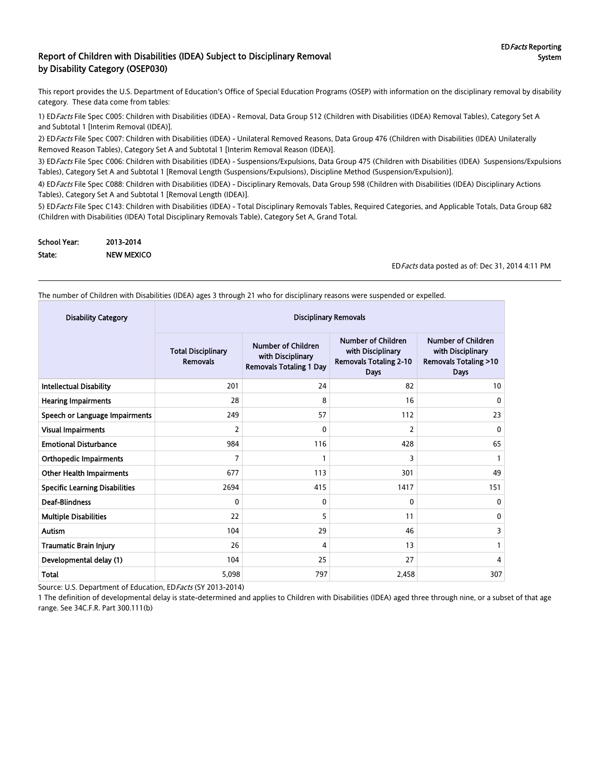#### Report of Children with Disabilities (IDEA) Subject to Disciplinary Removal by Disability Category (OSEP030)

This report provides the U.S. Department of Education's Office of Special Education Programs (OSEP) with information on the disciplinary removal by disability category. These data come from tables:

1) EDFacts File Spec C005: Children with Disabilities (IDEA) - Removal, Data Group 512 (Children with Disabilities (IDEA) Removal Tables), Category Set A and Subtotal 1 [Interim Removal (IDEA)].

2) ED Facts File Spec C007: Children with Disabilities (IDEA) - Unilateral Removed Reasons, Data Group 476 (Children with Disabilities (IDEA) Unilaterally Removed Reason Tables), Category Set A and Subtotal 1 [Interim Removal Reason (IDEA)].

3) ED Facts File Spec C006: Children with Disabilities (IDEA) - Suspensions/Expulsions, Data Group 475 (Children with Disabilities (IDEA) Suspensions/Expulsions Tables), Category Set A and Subtotal 1 [Removal Length (Suspensions/Expulsions), Discipline Method (Suspension/Expulsion)].

4) ED Facts File Spec C088: Children with Disabilities (IDEA) - Disciplinary Removals, Data Group 598 (Children with Disabilities (IDEA) Disciplinary Actions Tables), Category Set A and Subtotal 1 [Removal Length (IDEA)].

5) ED Facts File Spec C143: Children with Disabilities (IDEA) - Total Disciplinary Removals Tables, Required Categories, and Applicable Totals, Data Group 682 (Children with Disabilities (IDEA) Total Disciplinary Removals Table), Category Set A, Grand Total.

| <b>School Year:</b> | 2013-2014         |
|---------------------|-------------------|
| State:              | <b>NEW MEXICO</b> |

EDFacts data posted as of: Dec 31, 2014 4:11 PM

The number of Children with Disabilities (IDEA) ages 3 through 21 who for disciplinary reasons were suspended or expelled.

| <b>Disability Category</b>            | <b>Disciplinary Removals</b>                 |                                                                                  |                                                                                         |                                                                                           |  |
|---------------------------------------|----------------------------------------------|----------------------------------------------------------------------------------|-----------------------------------------------------------------------------------------|-------------------------------------------------------------------------------------------|--|
|                                       | <b>Total Disciplinary</b><br><b>Removals</b> | <b>Number of Children</b><br>with Disciplinary<br><b>Removals Totaling 1 Day</b> | Number of Children<br>with Disciplinary<br><b>Removals Totaling 2-10</b><br><b>Days</b> | Number of Children<br>with Disciplinary<br><b>Removals Totaling &gt;10</b><br><b>Days</b> |  |
| <b>Intellectual Disability</b>        | 201                                          | 24                                                                               | 82                                                                                      | 10                                                                                        |  |
| <b>Hearing Impairments</b>            | 28                                           | 8                                                                                | 16                                                                                      | $\mathbf{0}$                                                                              |  |
| Speech or Language Impairments        | 249                                          | 57                                                                               | 112                                                                                     | 23                                                                                        |  |
| <b>Visual Impairments</b>             | 2                                            | $\mathbf{0}$                                                                     | 2                                                                                       | $\mathbf{0}$                                                                              |  |
| <b>Emotional Disturbance</b>          | 984                                          | 116                                                                              | 428                                                                                     | 65                                                                                        |  |
| <b>Orthopedic Impairments</b>         | 7                                            |                                                                                  | 3                                                                                       |                                                                                           |  |
| <b>Other Health Impairments</b>       | 677                                          | 113                                                                              | 301                                                                                     | 49                                                                                        |  |
| <b>Specific Learning Disabilities</b> | 2694                                         | 415                                                                              | 1417                                                                                    | 151                                                                                       |  |
| <b>Deaf-Blindness</b>                 | 0                                            | $\mathbf{0}$                                                                     | $\mathbf{0}$                                                                            | 0                                                                                         |  |
| <b>Multiple Disabilities</b>          | 22                                           | 5                                                                                | 11                                                                                      | 0                                                                                         |  |
| <b>Autism</b>                         | 104                                          | 29                                                                               | 46                                                                                      | 3                                                                                         |  |
| <b>Traumatic Brain Injury</b>         | 26                                           | 4                                                                                | 13                                                                                      |                                                                                           |  |
| Developmental delay (1)               | 104                                          | 25                                                                               | 27                                                                                      | 4                                                                                         |  |
| <b>Total</b>                          | 5,098                                        | 797                                                                              | 2,458                                                                                   | 307                                                                                       |  |

Source: U.S. Department of Education, ED Facts (SY 2013-2014)

1 The definition of developmental delay is state-determined and applies to Children with Disabilities (IDEA) aged three through nine, or a subset of that age range. See 34C.F.R. Part 300.111(b)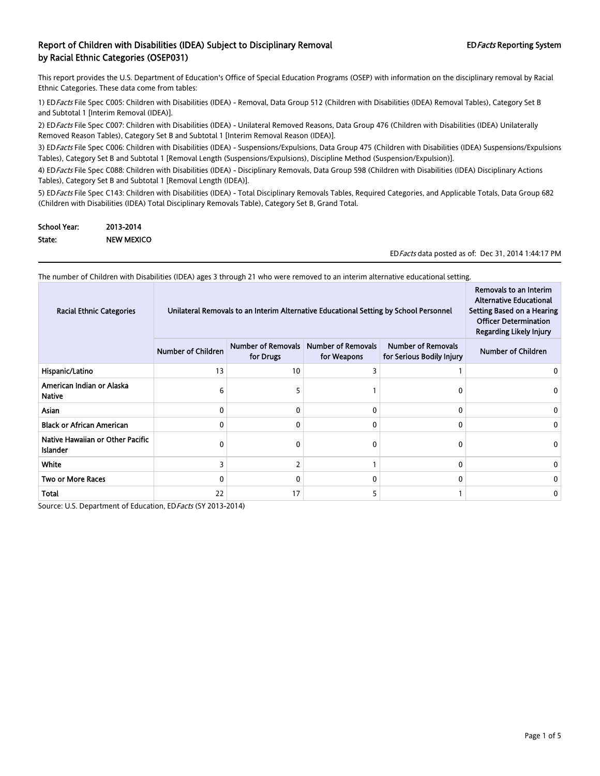This report provides the U.S. Department of Education's Office of Special Education Programs (OSEP) with information on the disciplinary removal by Racial Ethnic Categories. These data come from tables:

1) EDFacts File Spec C005: Children with Disabilities (IDEA) - Removal, Data Group 512 (Children with Disabilities (IDEA) Removal Tables), Category Set B and Subtotal 1 [Interim Removal (IDEA)].

2) ED Facts File Spec C007: Children with Disabilities (IDEA) - Unilateral Removed Reasons, Data Group 476 (Children with Disabilities (IDEA) Unilaterally Removed Reason Tables), Category Set B and Subtotal 1 [Interim Removal Reason (IDEA)].

3) ED Facts File Spec C006: Children with Disabilities (IDEA) - Suspensions/Expulsions, Data Group 475 (Children with Disabilities (IDEA) Suspensions/Expulsions Tables), Category Set B and Subtotal 1 [Removal Length (Suspensions/Expulsions), Discipline Method (Suspension/Expulsion)].

4) ED Facts File Spec C088: Children with Disabilities (IDEA) - Disciplinary Removals, Data Group 598 (Children with Disabilities (IDEA) Disciplinary Actions Tables), Category Set B and Subtotal 1 [Removal Length (IDEA)].

5) ED Facts File Spec C143: Children with Disabilities (IDEA) - Total Disciplinary Removals Tables, Required Categories, and Applicable Totals, Data Group 682 (Children with Disabilities (IDEA) Total Disciplinary Removals Table), Category Set B, Grand Total.

| <b>School Year:</b> | 2013-2014         |
|---------------------|-------------------|
| State:              | <b>NEW MEXICO</b> |

EDFacts data posted as of: Dec 31, 2014 1:44:17 PM

The number of Children with Disabilities (IDEA) ages 3 through 21 who were removed to an interim alternative educational setting.

| <b>Racial Ethnic Categories</b>                     | Unilateral Removals to an Interim Alternative Educational Setting by School Personnel |                                        |                                          |                                                        | Removals to an Interim<br><b>Alternative Educational</b><br>Setting Based on a Hearing<br><b>Officer Determination</b><br><b>Regarding Likely Injury</b> |
|-----------------------------------------------------|---------------------------------------------------------------------------------------|----------------------------------------|------------------------------------------|--------------------------------------------------------|----------------------------------------------------------------------------------------------------------------------------------------------------------|
|                                                     | <b>Number of Children</b>                                                             | <b>Number of Removals</b><br>for Drugs | <b>Number of Removals</b><br>for Weapons | <b>Number of Removals</b><br>for Serious Bodily Injury | <b>Number of Children</b>                                                                                                                                |
| Hispanic/Latino                                     | 13                                                                                    | 10                                     |                                          |                                                        |                                                                                                                                                          |
| American Indian or Alaska<br><b>Native</b>          | 6                                                                                     |                                        |                                          |                                                        |                                                                                                                                                          |
| <b>Asian</b>                                        | 0                                                                                     |                                        | 0                                        | $\mathbf{0}$                                           |                                                                                                                                                          |
| <b>Black or African American</b>                    | 0                                                                                     | n                                      | 0                                        | 0                                                      | 0                                                                                                                                                        |
| Native Hawaiian or Other Pacific<br><b>Islander</b> | 0                                                                                     |                                        | 0                                        | 0                                                      |                                                                                                                                                          |
| White                                               | 3                                                                                     |                                        |                                          | 0                                                      | 0                                                                                                                                                        |
| <b>Two or More Races</b>                            | 0                                                                                     |                                        | 0                                        | 0                                                      | 0                                                                                                                                                        |
| Total                                               | 22                                                                                    | 17                                     |                                          |                                                        |                                                                                                                                                          |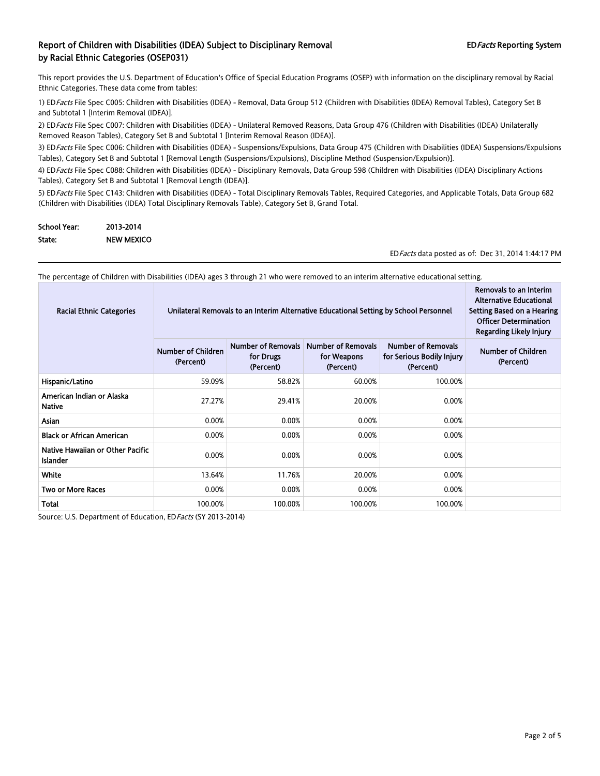This report provides the U.S. Department of Education's Office of Special Education Programs (OSEP) with information on the disciplinary removal by Racial Ethnic Categories. These data come from tables:

1) EDFacts File Spec C005: Children with Disabilities (IDEA) - Removal, Data Group 512 (Children with Disabilities (IDEA) Removal Tables), Category Set B and Subtotal 1 [Interim Removal (IDEA)].

2) ED Facts File Spec C007: Children with Disabilities (IDEA) - Unilateral Removed Reasons, Data Group 476 (Children with Disabilities (IDEA) Unilaterally Removed Reason Tables), Category Set B and Subtotal 1 [Interim Removal Reason (IDEA)].

3) ED Facts File Spec C006: Children with Disabilities (IDEA) - Suspensions/Expulsions, Data Group 475 (Children with Disabilities (IDEA) Suspensions/Expulsions Tables), Category Set B and Subtotal 1 [Removal Length (Suspensions/Expulsions), Discipline Method (Suspension/Expulsion)].

4) ED Facts File Spec C088: Children with Disabilities (IDEA) - Disciplinary Removals, Data Group 598 (Children with Disabilities (IDEA) Disciplinary Actions Tables), Category Set B and Subtotal 1 [Removal Length (IDEA)].

5) ED Facts File Spec C143: Children with Disabilities (IDEA) - Total Disciplinary Removals Tables, Required Categories, and Applicable Totals, Data Group 682 (Children with Disabilities (IDEA) Total Disciplinary Removals Table), Category Set B, Grand Total.

| <b>School Year:</b> | 2013-2014         |
|---------------------|-------------------|
| State:              | <b>NEW MEXICO</b> |

EDFacts data posted as of: Dec 31, 2014 1:44:17 PM

The percentage of Children with Disabilities (IDEA) ages 3 through 21 who were removed to an interim alternative educational setting.

| <b>Racial Ethnic Categories</b>                     | Unilateral Removals to an Interim Alternative Educational Setting by School Personnel | Removals to an Interim<br><b>Alternative Educational</b><br>Setting Based on a Hearing<br><b>Officer Determination</b><br>Regarding Likely Injury |         |         |  |
|-----------------------------------------------------|---------------------------------------------------------------------------------------|---------------------------------------------------------------------------------------------------------------------------------------------------|---------|---------|--|
|                                                     | Number of Children<br>(Percent)                                                       | Number of Children<br>(Percent)                                                                                                                   |         |         |  |
| Hispanic/Latino                                     | 59.09%                                                                                | 58.82%                                                                                                                                            | 60.00%  | 100.00% |  |
| American Indian or Alaska<br><b>Native</b>          | 27.27%                                                                                | 29.41%                                                                                                                                            | 20.00%  | 0.00%   |  |
| Asian                                               | 0.00%                                                                                 | 0.00%                                                                                                                                             | 0.00%   | 0.00%   |  |
| <b>Black or African American</b>                    | 0.00%                                                                                 | 0.00%                                                                                                                                             | 0.00%   | 0.00%   |  |
| Native Hawaiian or Other Pacific<br><b>Islander</b> | 0.00%                                                                                 | 0.00%                                                                                                                                             | 0.00%   | 0.00%   |  |
| White                                               | 13.64%                                                                                | 11.76%                                                                                                                                            | 20.00%  | 0.00%   |  |
| <b>Two or More Races</b>                            | 0.00%                                                                                 | 0.00%                                                                                                                                             | 0.00%   | 0.00%   |  |
| Total                                               | 100.00%                                                                               | 100.00%                                                                                                                                           | 100.00% | 100.00% |  |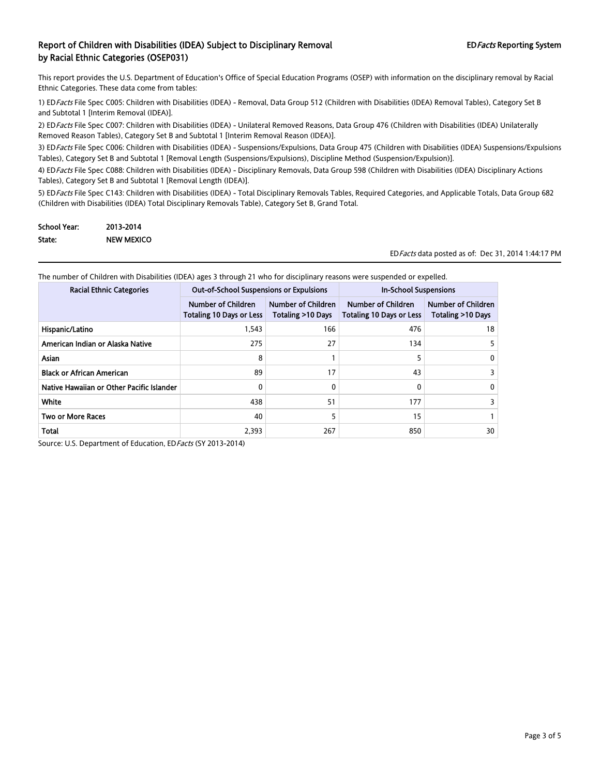This report provides the U.S. Department of Education's Office of Special Education Programs (OSEP) with information on the disciplinary removal by Racial Ethnic Categories. These data come from tables:

1) EDFacts File Spec C005: Children with Disabilities (IDEA) - Removal, Data Group 512 (Children with Disabilities (IDEA) Removal Tables), Category Set B and Subtotal 1 [Interim Removal (IDEA)].

2) ED Facts File Spec C007: Children with Disabilities (IDEA) - Unilateral Removed Reasons, Data Group 476 (Children with Disabilities (IDEA) Unilaterally Removed Reason Tables), Category Set B and Subtotal 1 [Interim Removal Reason (IDEA)].

3) ED Facts File Spec C006: Children with Disabilities (IDEA) - Suspensions/Expulsions, Data Group 475 (Children with Disabilities (IDEA) Suspensions/Expulsions Tables), Category Set B and Subtotal 1 [Removal Length (Suspensions/Expulsions), Discipline Method (Suspension/Expulsion)].

4) ED Facts File Spec C088: Children with Disabilities (IDEA) - Disciplinary Removals, Data Group 598 (Children with Disabilities (IDEA) Disciplinary Actions Tables), Category Set B and Subtotal 1 [Removal Length (IDEA)].

5) ED Facts File Spec C143: Children with Disabilities (IDEA) - Total Disciplinary Removals Tables, Required Categories, and Applicable Totals, Data Group 682 (Children with Disabilities (IDEA) Total Disciplinary Removals Table), Category Set B, Grand Total.

| <b>School Year:</b> | 2013-2014         |
|---------------------|-------------------|
| State:              | <b>NEW MEXICO</b> |

EDFacts data posted as of: Dec 31, 2014 1:44:17 PM

The number of Children with Disabilities (IDEA) ages 3 through 21 who for disciplinary reasons were suspended or expelled.

| <b>Racial Ethnic Categories</b>           | <b>Out-of-School Suspensions or Expulsions</b>               |                                                | <b>In-School Suspensions</b>                          |                                                |
|-------------------------------------------|--------------------------------------------------------------|------------------------------------------------|-------------------------------------------------------|------------------------------------------------|
|                                           | <b>Number of Children</b><br><b>Totaling 10 Days or Less</b> | <b>Number of Children</b><br>Totaling >10 Days | Number of Children<br><b>Totaling 10 Days or Less</b> | <b>Number of Children</b><br>Totaling >10 Days |
| Hispanic/Latino                           | 1,543                                                        | 166                                            | 476                                                   | 18                                             |
| American Indian or Alaska Native          | 275                                                          | 27                                             | 134                                                   |                                                |
| <b>Asian</b>                              | 8                                                            |                                                |                                                       | 0                                              |
| <b>Black or African American</b>          | 89                                                           | 17                                             | 43                                                    |                                                |
| Native Hawaiian or Other Pacific Islander | 0                                                            | 0                                              |                                                       | 0                                              |
| White                                     | 438                                                          | 51                                             | 177                                                   |                                                |
| <b>Two or More Races</b>                  | 40                                                           |                                                | 15                                                    |                                                |
| Total                                     | 2.393                                                        | 267                                            | 850                                                   | 30                                             |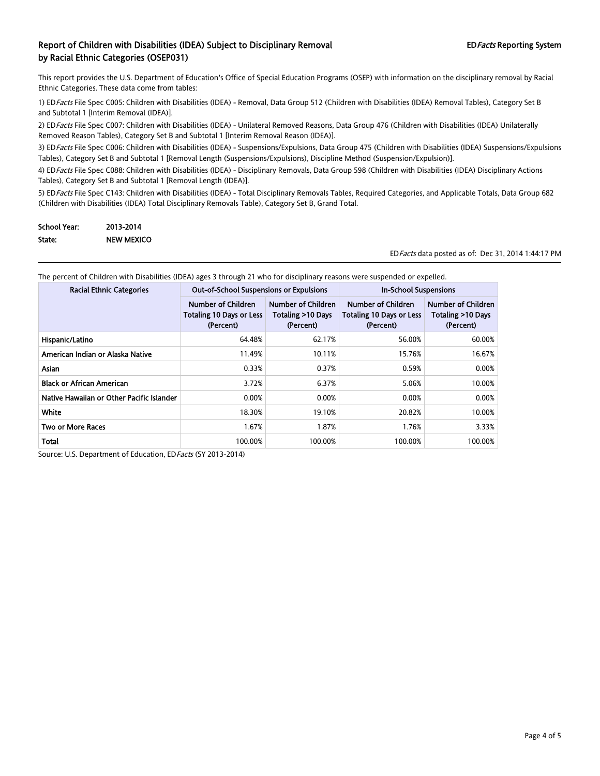This report provides the U.S. Department of Education's Office of Special Education Programs (OSEP) with information on the disciplinary removal by Racial Ethnic Categories. These data come from tables:

1) EDFacts File Spec C005: Children with Disabilities (IDEA) - Removal, Data Group 512 (Children with Disabilities (IDEA) Removal Tables), Category Set B and Subtotal 1 [Interim Removal (IDEA)].

2) ED Facts File Spec C007: Children with Disabilities (IDEA) - Unilateral Removed Reasons, Data Group 476 (Children with Disabilities (IDEA) Unilaterally Removed Reason Tables), Category Set B and Subtotal 1 [Interim Removal Reason (IDEA)].

3) ED Facts File Spec C006: Children with Disabilities (IDEA) - Suspensions/Expulsions, Data Group 475 (Children with Disabilities (IDEA) Suspensions/Expulsions Tables), Category Set B and Subtotal 1 [Removal Length (Suspensions/Expulsions), Discipline Method (Suspension/Expulsion)].

4) ED Facts File Spec C088: Children with Disabilities (IDEA) - Disciplinary Removals, Data Group 598 (Children with Disabilities (IDEA) Disciplinary Actions Tables), Category Set B and Subtotal 1 [Removal Length (IDEA)].

5) ED Facts File Spec C143: Children with Disabilities (IDEA) - Total Disciplinary Removals Tables, Required Categories, and Applicable Totals, Data Group 682 (Children with Disabilities (IDEA) Total Disciplinary Removals Table), Category Set B, Grand Total.

| <b>School Year:</b> | 2013-2014         |
|---------------------|-------------------|
| State:              | <b>NEW MEXICO</b> |

EDFacts data posted as of: Dec 31, 2014 1:44:17 PM

| <b>Racial Ethnic Categories</b>           | <b>Out-of-School Suspensions or Expulsions</b>                     |                                                      | In-School Suspensions                                              |                                                      |  |
|-------------------------------------------|--------------------------------------------------------------------|------------------------------------------------------|--------------------------------------------------------------------|------------------------------------------------------|--|
|                                           | Number of Children<br><b>Totaling 10 Days or Less</b><br>(Percent) | Number of Children<br>Totaling >10 Days<br>(Percent) | Number of Children<br><b>Totaling 10 Days or Less</b><br>(Percent) | Number of Children<br>Totaling >10 Days<br>(Percent) |  |
| Hispanic/Latino                           | 64.48%                                                             | 62.17%                                               | 56.00%                                                             | 60.00%                                               |  |
| American Indian or Alaska Native          | 11.49%                                                             | 10.11%                                               | 15.76%                                                             | 16.67%                                               |  |
| <b>Asian</b>                              | 0.33%                                                              | 0.37%                                                | 0.59%                                                              | 0.00%                                                |  |
| <b>Black or African American</b>          | 3.72%                                                              | 6.37%                                                | 5.06%                                                              | 10.00%                                               |  |
| Native Hawaiian or Other Pacific Islander | 0.00%                                                              | 0.00%                                                | 0.00%                                                              | 0.00%                                                |  |
| White                                     | 18.30%                                                             | 19.10%                                               | 20.82%                                                             | 10.00%                                               |  |
| <b>Two or More Races</b>                  | 1.67%                                                              | 1.87%                                                | 1.76%                                                              | 3.33%                                                |  |
| Total                                     | 100.00%                                                            | 100.00%                                              | 100.00%                                                            | 100.00%                                              |  |

The percent of Children with Disabilities (IDEA) ages 3 through 21 who for disciplinary reasons were suspended or expelled.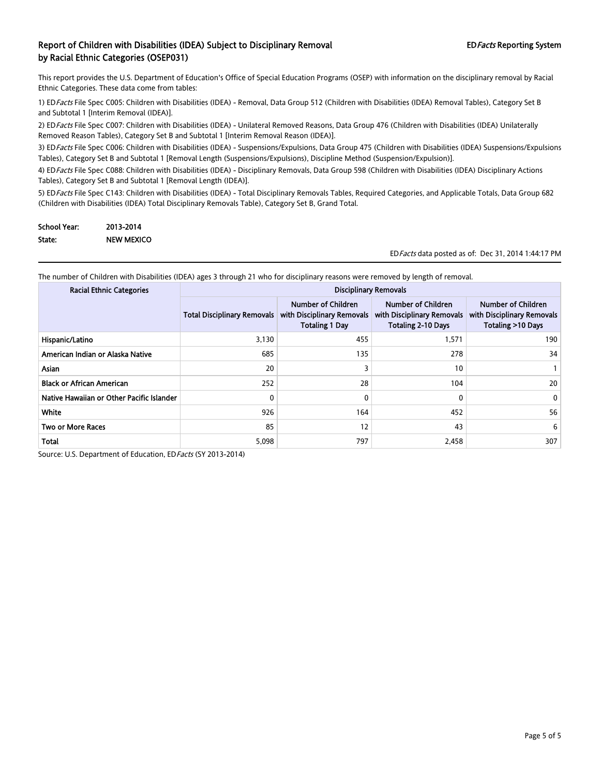This report provides the U.S. Department of Education's Office of Special Education Programs (OSEP) with information on the disciplinary removal by Racial Ethnic Categories. These data come from tables:

1) EDFacts File Spec C005: Children with Disabilities (IDEA) - Removal, Data Group 512 (Children with Disabilities (IDEA) Removal Tables), Category Set B and Subtotal 1 [Interim Removal (IDEA)].

2) ED Facts File Spec C007: Children with Disabilities (IDEA) - Unilateral Removed Reasons, Data Group 476 (Children with Disabilities (IDEA) Unilaterally Removed Reason Tables), Category Set B and Subtotal 1 [Interim Removal Reason (IDEA)].

3) ED Facts File Spec C006: Children with Disabilities (IDEA) - Suspensions/Expulsions, Data Group 475 (Children with Disabilities (IDEA) Suspensions/Expulsions Tables), Category Set B and Subtotal 1 [Removal Length (Suspensions/Expulsions), Discipline Method (Suspension/Expulsion)].

4) ED Facts File Spec C088: Children with Disabilities (IDEA) - Disciplinary Removals, Data Group 598 (Children with Disabilities (IDEA) Disciplinary Actions Tables), Category Set B and Subtotal 1 [Removal Length (IDEA)].

5) ED Facts File Spec C143: Children with Disabilities (IDEA) - Total Disciplinary Removals Tables, Required Categories, and Applicable Totals, Data Group 682 (Children with Disabilities (IDEA) Total Disciplinary Removals Table), Category Set B, Grand Total.

| School Year: | 2013-2014         |
|--------------|-------------------|
| State:       | <b>NEW MEXICO</b> |

EDFacts data posted as of: Dec 31, 2014 1:44:17 PM

The number of Children with Disabilities (IDEA) ages 3 through 21 who for disciplinary reasons were removed by length of removal.

| <b>Racial Ethnic Categories</b>           | <b>Disciplinary Removals</b>       |                                                                           |                                                                               |                                                                       |
|-------------------------------------------|------------------------------------|---------------------------------------------------------------------------|-------------------------------------------------------------------------------|-----------------------------------------------------------------------|
|                                           | <b>Total Disciplinary Removals</b> | Number of Children<br>with Disciplinary Removals<br><b>Totaling 1 Day</b> | Number of Children<br>with Disciplinary Removals<br><b>Totaling 2-10 Days</b> | Number of Children<br>with Disciplinary Removals<br>Totaling >10 Days |
| Hispanic/Latino                           | 3,130                              | 455                                                                       | 1,571                                                                         | 190                                                                   |
| American Indian or Alaska Native          | 685                                | 135                                                                       | 278                                                                           | 34                                                                    |
| Asian                                     | 20                                 |                                                                           | 10                                                                            |                                                                       |
| <b>Black or African American</b>          | 252                                | 28                                                                        | 104                                                                           | 20                                                                    |
| Native Hawaiian or Other Pacific Islander | 0                                  | 0                                                                         | 0                                                                             | 0                                                                     |
| White                                     | 926                                | 164                                                                       | 452                                                                           | 56                                                                    |
| <b>Two or More Races</b>                  | 85                                 | 12                                                                        | 43                                                                            | 6                                                                     |
| <b>Total</b>                              | 5,098                              | 797                                                                       | 2,458                                                                         | 307                                                                   |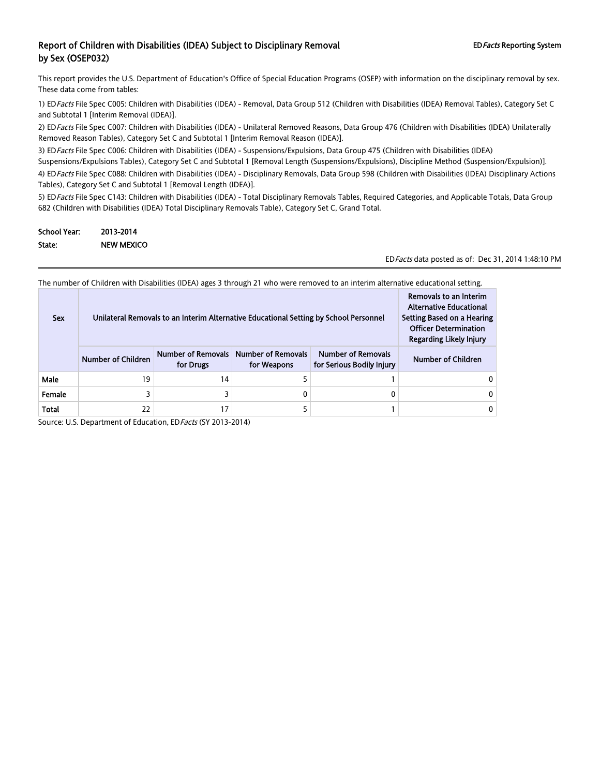This report provides the U.S. Department of Education's Office of Special Education Programs (OSEP) with information on the disciplinary removal by sex. These data come from tables:

1) ED Facts File Spec C005: Children with Disabilities (IDEA) - Removal, Data Group 512 (Children with Disabilities (IDEA) Removal Tables), Category Set C and Subtotal 1 [Interim Removal (IDEA)].

2) ED Facts File Spec C007: Children with Disabilities (IDEA) - Unilateral Removed Reasons, Data Group 476 (Children with Disabilities (IDEA) Unilaterally Removed Reason Tables), Category Set C and Subtotal 1 [Interim Removal Reason (IDEA)].

3) ED Facts File Spec C006: Children with Disabilities (IDEA) - Suspensions/Expulsions, Data Group 475 (Children with Disabilities (IDEA) Suspensions/Expulsions Tables), Category Set C and Subtotal 1 [Removal Length (Suspensions/Expulsions), Discipline Method (Suspension/Expulsion)]. 4) ED Facts File Spec C088: Children with Disabilities (IDEA) - Disciplinary Removals, Data Group 598 (Children with Disabilities (IDEA) Disciplinary Actions Tables), Category Set C and Subtotal 1 [Removal Length (IDEA)].

5) ED Facts File Spec C143: Children with Disabilities (IDEA) - Total Disciplinary Removals Tables, Required Categories, and Applicable Totals, Data Group 682 (Children with Disabilities (IDEA) Total Disciplinary Removals Table), Category Set C, Grand Total.

| <b>School Year:</b> | 2013-2014         |
|---------------------|-------------------|
| State:              | <b>NEW MEXICO</b> |

EDFacts data posted as of: Dec 31, 2014 1:48:10 PM

The number of Children with Disabilities (IDEA) ages 3 through 21 who were removed to an interim alternative educational setting.

| <b>Sex</b> | Unilateral Removals to an Interim Alternative Educational Setting by School Personnel | Removals to an Interim<br><b>Alternative Educational</b><br>Setting Based on a Hearing<br><b>Officer Determination</b><br><b>Regarding Likely Injury</b> |  |  |
|------------|---------------------------------------------------------------------------------------|----------------------------------------------------------------------------------------------------------------------------------------------------------|--|--|
|            | <b>Number of Children</b>                                                             | Number of Children                                                                                                                                       |  |  |
| Male       | 19                                                                                    | 14                                                                                                                                                       |  |  |
| Female     |                                                                                       |                                                                                                                                                          |  |  |
| Total      | 22                                                                                    | 17                                                                                                                                                       |  |  |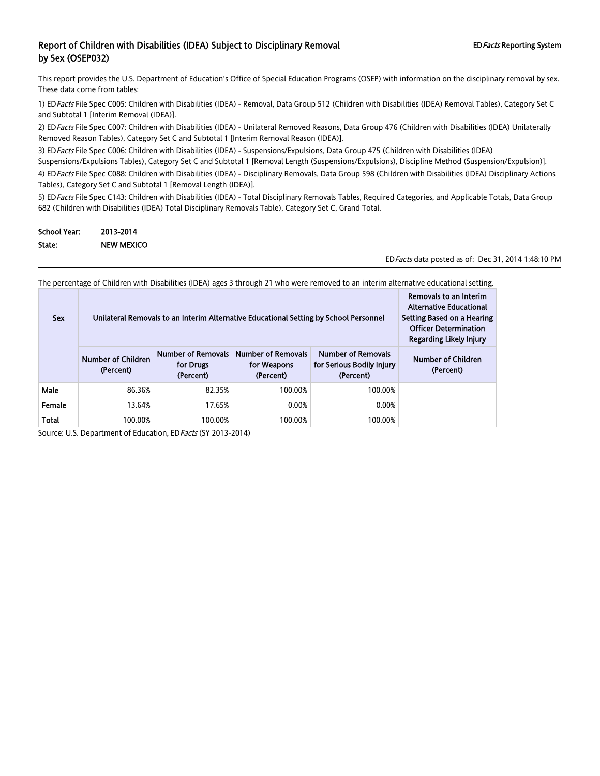This report provides the U.S. Department of Education's Office of Special Education Programs (OSEP) with information on the disciplinary removal by sex. These data come from tables:

1) ED Facts File Spec C005: Children with Disabilities (IDEA) - Removal, Data Group 512 (Children with Disabilities (IDEA) Removal Tables), Category Set C and Subtotal 1 [Interim Removal (IDEA)].

2) ED Facts File Spec C007: Children with Disabilities (IDEA) - Unilateral Removed Reasons, Data Group 476 (Children with Disabilities (IDEA) Unilaterally Removed Reason Tables), Category Set C and Subtotal 1 [Interim Removal Reason (IDEA)].

3) ED Facts File Spec C006: Children with Disabilities (IDEA) - Suspensions/Expulsions, Data Group 475 (Children with Disabilities (IDEA) Suspensions/Expulsions Tables), Category Set C and Subtotal 1 [Removal Length (Suspensions/Expulsions), Discipline Method (Suspension/Expulsion)]. 4) ED Facts File Spec C088: Children with Disabilities (IDEA) - Disciplinary Removals, Data Group 598 (Children with Disabilities (IDEA) Disciplinary Actions Tables), Category Set C and Subtotal 1 [Removal Length (IDEA)].

5) ED Facts File Spec C143: Children with Disabilities (IDEA) - Total Disciplinary Removals Tables, Required Categories, and Applicable Totals, Data Group 682 (Children with Disabilities (IDEA) Total Disciplinary Removals Table), Category Set C, Grand Total.

| <b>School Year:</b> | 2013-2014  |
|---------------------|------------|
| State:              | NEW MEXICO |

EDFacts data posted as of: Dec 31, 2014 1:48:10 PM

The percentage of Children with Disabilities (IDEA) ages 3 through 21 who were removed to an interim alternative educational setting.

| <b>Sex</b>   | Unilateral Removals to an Interim Alternative Educational Setting by School Personnel | Removals to an Interim<br><b>Alternative Educational</b><br>Setting Based on a Hearing<br><b>Officer Determination</b><br><b>Regarding Likely Injury</b> |         |         |  |
|--------------|---------------------------------------------------------------------------------------|----------------------------------------------------------------------------------------------------------------------------------------------------------|---------|---------|--|
|              | <b>Number of Children</b><br>(Percent)                                                | Number of Children<br>(Percent)                                                                                                                          |         |         |  |
| Male         | 86.36%                                                                                | 82.35%                                                                                                                                                   | 100.00% | 100.00% |  |
| Female       | 13.64%                                                                                | 17.65%                                                                                                                                                   | 0.00%   | 0.00%   |  |
| <b>Total</b> | 100.00%                                                                               | 100.00%                                                                                                                                                  | 100.00% | 100.00% |  |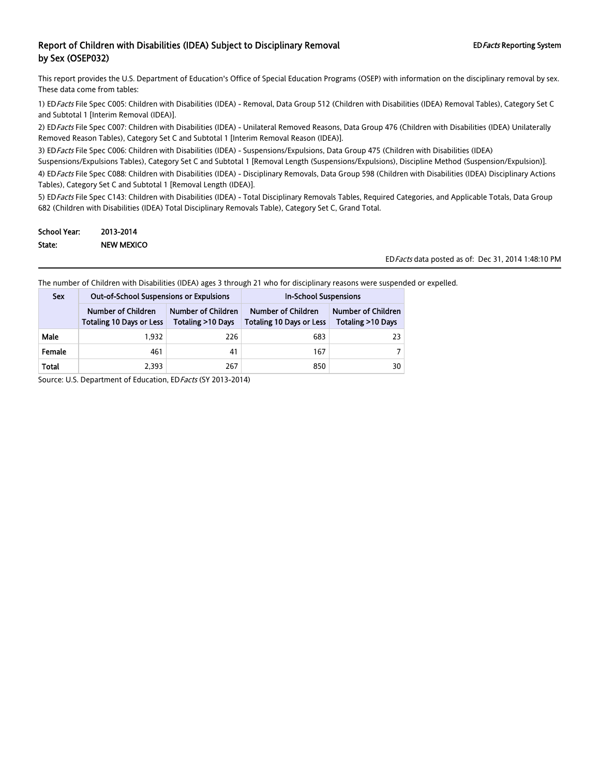This report provides the U.S. Department of Education's Office of Special Education Programs (OSEP) with information on the disciplinary removal by sex. These data come from tables:

1) ED Facts File Spec C005: Children with Disabilities (IDEA) - Removal, Data Group 512 (Children with Disabilities (IDEA) Removal Tables), Category Set C and Subtotal 1 [Interim Removal (IDEA)].

2) ED Facts File Spec C007: Children with Disabilities (IDEA) - Unilateral Removed Reasons, Data Group 476 (Children with Disabilities (IDEA) Unilaterally Removed Reason Tables), Category Set C and Subtotal 1 [Interim Removal Reason (IDEA)].

3) ED Facts File Spec C006: Children with Disabilities (IDEA) - Suspensions/Expulsions, Data Group 475 (Children with Disabilities (IDEA)

Suspensions/Expulsions Tables), Category Set C and Subtotal 1 [Removal Length (Suspensions/Expulsions), Discipline Method (Suspension/Expulsion)].

4) ED Facts File Spec C088: Children with Disabilities (IDEA) - Disciplinary Removals, Data Group 598 (Children with Disabilities (IDEA) Disciplinary Actions Tables), Category Set C and Subtotal 1 [Removal Length (IDEA)].

5) ED Facts File Spec C143: Children with Disabilities (IDEA) - Total Disciplinary Removals Tables, Required Categories, and Applicable Totals, Data Group 682 (Children with Disabilities (IDEA) Total Disciplinary Removals Table), Category Set C, Grand Total.

| School Year: | 2013-2014         |
|--------------|-------------------|
| State:       | <b>NEW MEXICO</b> |

EDFacts data posted as of: Dec 31, 2014 1:48:10 PM

The number of Children with Disabilities (IDEA) ages 3 through 21 who for disciplinary reasons were suspended or expelled.

| <b>Sex</b> | <b>Out-of-School Suspensions or Expulsions</b> |                                         | <b>In-School Suspensions</b>                          |                                         |
|------------|------------------------------------------------|-----------------------------------------|-------------------------------------------------------|-----------------------------------------|
|            | Number of Children<br>Totaling 10 Days or Less | Number of Children<br>Totaling >10 Days | Number of Children<br><b>Totaling 10 Days or Less</b> | Number of Children<br>Totaling >10 Days |
| Male       | 1.932                                          | 226                                     | 683                                                   | 23                                      |
| Female     | 461                                            | 41                                      | 167                                                   |                                         |
| Total      | 2.393                                          | 267                                     | 850                                                   | 30                                      |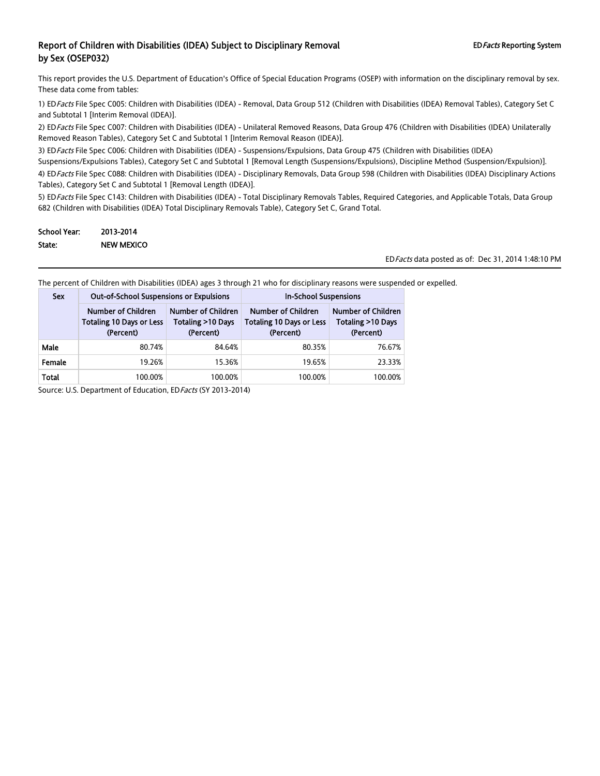This report provides the U.S. Department of Education's Office of Special Education Programs (OSEP) with information on the disciplinary removal by sex. These data come from tables:

1) ED Facts File Spec C005: Children with Disabilities (IDEA) - Removal, Data Group 512 (Children with Disabilities (IDEA) Removal Tables), Category Set C and Subtotal 1 [Interim Removal (IDEA)].

2) ED Facts File Spec C007: Children with Disabilities (IDEA) - Unilateral Removed Reasons, Data Group 476 (Children with Disabilities (IDEA) Unilaterally Removed Reason Tables), Category Set C and Subtotal 1 [Interim Removal Reason (IDEA)].

3) ED Facts File Spec C006: Children with Disabilities (IDEA) - Suspensions/Expulsions, Data Group 475 (Children with Disabilities (IDEA)

Suspensions/Expulsions Tables), Category Set C and Subtotal 1 [Removal Length (Suspensions/Expulsions), Discipline Method (Suspension/Expulsion)].

4) ED Facts File Spec C088: Children with Disabilities (IDEA) - Disciplinary Removals, Data Group 598 (Children with Disabilities (IDEA) Disciplinary Actions Tables), Category Set C and Subtotal 1 [Removal Length (IDEA)].

5) ED Facts File Spec C143: Children with Disabilities (IDEA) - Total Disciplinary Removals Tables, Required Categories, and Applicable Totals, Data Group 682 (Children with Disabilities (IDEA) Total Disciplinary Removals Table), Category Set C, Grand Total.

| School Year: | 2013-2014         |
|--------------|-------------------|
| State:       | <b>NEW MEXICO</b> |

EDFacts data posted as of: Dec 31, 2014 1:48:10 PM

The percent of Children with Disabilities (IDEA) ages 3 through 21 who for disciplinary reasons were suspended or expelled.

| <b>Sex</b> | <b>Out-of-School Suspensions or Expulsions</b>                     |                                                      | <b>In-School Suspensions</b>                                              |                                                             |
|------------|--------------------------------------------------------------------|------------------------------------------------------|---------------------------------------------------------------------------|-------------------------------------------------------------|
|            | Number of Children<br><b>Totaling 10 Days or Less</b><br>(Percent) | Number of Children<br>Totaling >10 Days<br>(Percent) | <b>Number of Children</b><br><b>Totaling 10 Days or Less</b><br>(Percent) | <b>Number of Children</b><br>Totaling >10 Days<br>(Percent) |
| Male       | 80.74%                                                             | 84.64%                                               | 80.35%                                                                    | 76.67%                                                      |
| Female     | 19.26%                                                             | 15.36%                                               | 19.65%                                                                    | 23.33%                                                      |
| Total      | 100.00%                                                            | 100.00%                                              | 100.00%                                                                   | 100.00%                                                     |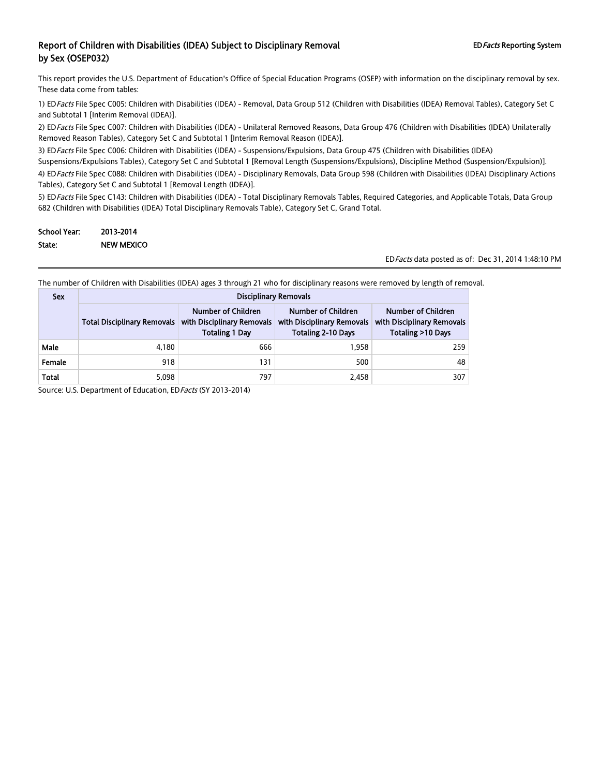This report provides the U.S. Department of Education's Office of Special Education Programs (OSEP) with information on the disciplinary removal by sex. These data come from tables:

1) ED Facts File Spec C005: Children with Disabilities (IDEA) - Removal, Data Group 512 (Children with Disabilities (IDEA) Removal Tables), Category Set C and Subtotal 1 [Interim Removal (IDEA)].

2) ED Facts File Spec C007: Children with Disabilities (IDEA) - Unilateral Removed Reasons, Data Group 476 (Children with Disabilities (IDEA) Unilaterally Removed Reason Tables), Category Set C and Subtotal 1 [Interim Removal Reason (IDEA)].

3) ED Facts File Spec C006: Children with Disabilities (IDEA) - Suspensions/Expulsions, Data Group 475 (Children with Disabilities (IDEA)

Suspensions/Expulsions Tables), Category Set C and Subtotal 1 [Removal Length (Suspensions/Expulsions), Discipline Method (Suspension/Expulsion)].

4) ED Facts File Spec C088: Children with Disabilities (IDEA) - Disciplinary Removals, Data Group 598 (Children with Disabilities (IDEA) Disciplinary Actions Tables), Category Set C and Subtotal 1 [Removal Length (IDEA)].

5) ED Facts File Spec C143: Children with Disabilities (IDEA) - Total Disciplinary Removals Tables, Required Categories, and Applicable Totals, Data Group 682 (Children with Disabilities (IDEA) Total Disciplinary Removals Table), Category Set C, Grand Total.

| School Year: | 2013-2014         |
|--------------|-------------------|
| State:       | <b>NEW MEXICO</b> |

EDFacts data posted as of: Dec 31, 2014 1:48:10 PM

The number of Children with Disabilities (IDEA) ages 3 through 21 who for disciplinary reasons were removed by length of removal.

| <b>Sex</b> | <b>Disciplinary Removals</b>       |                                                                           |                                                                                                                                                        |     |  |  |
|------------|------------------------------------|---------------------------------------------------------------------------|--------------------------------------------------------------------------------------------------------------------------------------------------------|-----|--|--|
|            | <b>Total Disciplinary Removals</b> | Number of Children<br>with Disciplinary Removals<br><b>Totaling 1 Day</b> | Number of Children<br>Number of Children<br>with Disciplinary Removals<br>with Disciplinary Removals<br><b>Totaling 2-10 Days</b><br>Totaling >10 Days |     |  |  |
| Male       | 4,180                              | 666                                                                       | 1.958                                                                                                                                                  | 259 |  |  |
| Female     | 918                                | 131                                                                       | 500                                                                                                                                                    | 48  |  |  |
| Total      | 5,098                              | 797                                                                       | 2,458                                                                                                                                                  | 307 |  |  |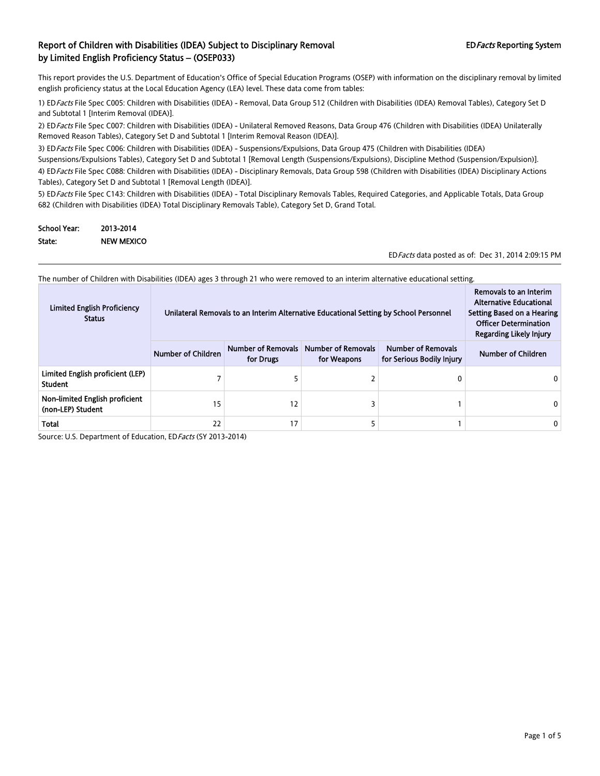This report provides the U.S. Department of Education's Office of Special Education Programs (OSEP) with information on the disciplinary removal by limited english proficiency status at the Local Education Agency (LEA) level. These data come from tables:

1) ED Facts File Spec C005: Children with Disabilities (IDEA) - Removal, Data Group 512 (Children with Disabilities (IDEA) Removal Tables), Category Set D and Subtotal 1 [Interim Removal (IDEA)].

2) ED Facts File Spec C007: Children with Disabilities (IDEA) - Unilateral Removed Reasons, Data Group 476 (Children with Disabilities (IDEA) Unilaterally Removed Reason Tables), Category Set D and Subtotal 1 [Interim Removal Reason (IDEA)].

3) ED Facts File Spec C006: Children with Disabilities (IDEA) - Suspensions/Expulsions, Data Group 475 (Children with Disabilities (IDEA) Suspensions/Expulsions Tables), Category Set D and Subtotal 1 [Removal Length (Suspensions/Expulsions), Discipline Method (Suspension/Expulsion)].

4) ED Facts File Spec C088: Children with Disabilities (IDEA) - Disciplinary Removals, Data Group 598 (Children with Disabilities (IDEA) Disciplinary Actions Tables), Category Set D and Subtotal 1 [Removal Length (IDEA)].

5) ED Facts File Spec C143: Children with Disabilities (IDEA) - Total Disciplinary Removals Tables, Required Categories, and Applicable Totals, Data Group 682 (Children with Disabilities (IDEA) Total Disciplinary Removals Table), Category Set D, Grand Total.

| School Year: | 2013-2014         |
|--------------|-------------------|
| State:       | <b>NEW MEXICO</b> |

EDFacts data posted as of: Dec 31, 2014 2:09:15 PM

The number of Children with Disabilities (IDEA) ages 3 through 21 who were removed to an interim alternative educational setting.

| <b>Limited English Proficiency</b><br><b>Status</b> | Unilateral Removals to an Interim Alternative Educational Setting by School Personnel | Removals to an Interim<br><b>Alternative Educational</b><br>Setting Based on a Hearing<br><b>Officer Determination</b><br>Regarding Likely Injury |                                          |                                                        |                    |
|-----------------------------------------------------|---------------------------------------------------------------------------------------|---------------------------------------------------------------------------------------------------------------------------------------------------|------------------------------------------|--------------------------------------------------------|--------------------|
|                                                     | <b>Number of Children</b>                                                             | Number of Removals<br>for Drugs                                                                                                                   | <b>Number of Removals</b><br>for Weapons | <b>Number of Removals</b><br>for Serious Bodily Injury | Number of Children |
| Limited English proficient (LEP)<br><b>Student</b>  |                                                                                       |                                                                                                                                                   |                                          | 0                                                      |                    |
| Non-limited English proficient<br>(non-LEP) Student | 15                                                                                    | 12                                                                                                                                                |                                          |                                                        |                    |
| <b>Total</b>                                        | 22                                                                                    | 17                                                                                                                                                |                                          |                                                        | 0                  |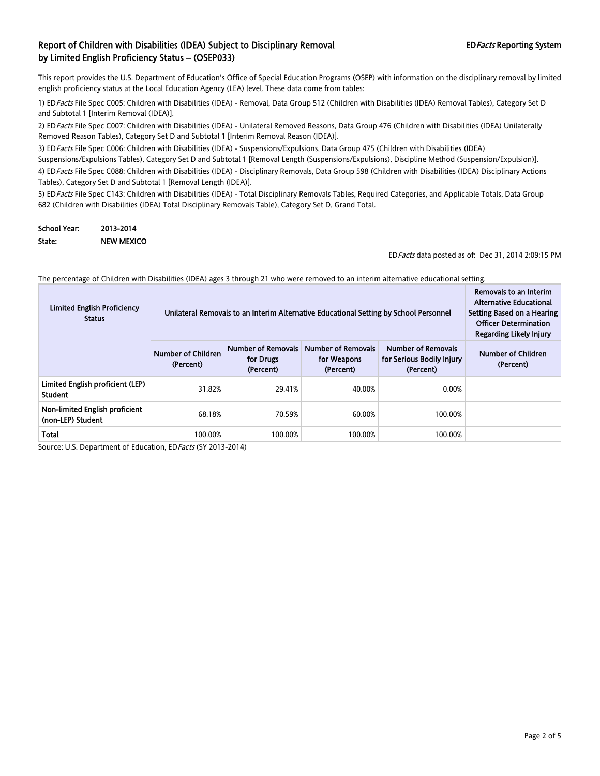This report provides the U.S. Department of Education's Office of Special Education Programs (OSEP) with information on the disciplinary removal by limited english proficiency status at the Local Education Agency (LEA) level. These data come from tables:

1) ED Facts File Spec C005: Children with Disabilities (IDEA) - Removal, Data Group 512 (Children with Disabilities (IDEA) Removal Tables), Category Set D and Subtotal 1 [Interim Removal (IDEA)].

2) ED Facts File Spec C007: Children with Disabilities (IDEA) - Unilateral Removed Reasons, Data Group 476 (Children with Disabilities (IDEA) Unilaterally Removed Reason Tables), Category Set D and Subtotal 1 [Interim Removal Reason (IDEA)].

3) ED Facts File Spec C006: Children with Disabilities (IDEA) - Suspensions/Expulsions, Data Group 475 (Children with Disabilities (IDEA) Suspensions/Expulsions Tables), Category Set D and Subtotal 1 [Removal Length (Suspensions/Expulsions), Discipline Method (Suspension/Expulsion)].

4) ED Facts File Spec C088: Children with Disabilities (IDEA) - Disciplinary Removals, Data Group 598 (Children with Disabilities (IDEA) Disciplinary Actions Tables), Category Set D and Subtotal 1 [Removal Length (IDEA)].

5) ED Facts File Spec C143: Children with Disabilities (IDEA) - Total Disciplinary Removals Tables, Required Categories, and Applicable Totals, Data Group 682 (Children with Disabilities (IDEA) Total Disciplinary Removals Table), Category Set D, Grand Total.

| <b>School Year:</b> | 2013-2014         |
|---------------------|-------------------|
| State:              | <b>NEW MEXICO</b> |

EDFacts data posted as of: Dec 31, 2014 2:09:15 PM

The percentage of Children with Disabilities (IDEA) ages 3 through 21 who were removed to an interim alternative educational setting.

| <b>Limited English Proficiency</b><br><b>Status</b> |                                 | Unilateral Removals to an Interim Alternative Educational Setting by School Personnel<br>Setting Based on a Hearing |                                                       |                                                                     |                                 |  |
|-----------------------------------------------------|---------------------------------|---------------------------------------------------------------------------------------------------------------------|-------------------------------------------------------|---------------------------------------------------------------------|---------------------------------|--|
|                                                     | Number of Children<br>(Percent) | Number of Removals<br>for Drugs<br>(Percent)                                                                        | <b>Number of Removals</b><br>for Weapons<br>(Percent) | <b>Number of Removals</b><br>for Serious Bodily Injury<br>(Percent) | Number of Children<br>(Percent) |  |
| Limited English proficient (LEP)<br><b>Student</b>  | 31.82%                          | 29.41%                                                                                                              | 40.00%                                                | 0.00%                                                               |                                 |  |
| Non-limited English proficient<br>(non-LEP) Student | 68.18%                          | 70.59%                                                                                                              | 60.00%                                                | 100.00%                                                             |                                 |  |
| Total                                               | 100.00%                         | 100.00%                                                                                                             | 100.00%                                               | 100.00%                                                             |                                 |  |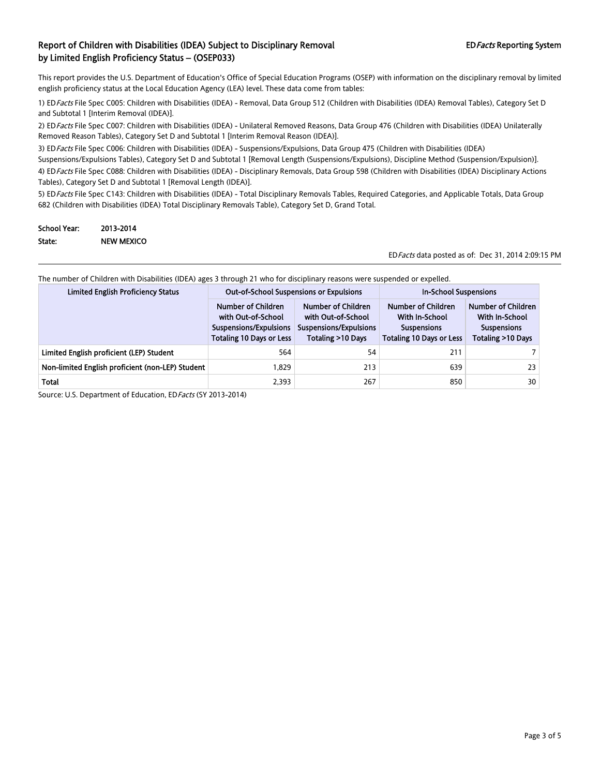This report provides the U.S. Department of Education's Office of Special Education Programs (OSEP) with information on the disciplinary removal by limited english proficiency status at the Local Education Agency (LEA) level. These data come from tables:

1) ED Facts File Spec C005: Children with Disabilities (IDEA) - Removal, Data Group 512 (Children with Disabilities (IDEA) Removal Tables), Category Set D and Subtotal 1 [Interim Removal (IDEA)].

2) ED Facts File Spec C007: Children with Disabilities (IDEA) - Unilateral Removed Reasons, Data Group 476 (Children with Disabilities (IDEA) Unilaterally Removed Reason Tables), Category Set D and Subtotal 1 [Interim Removal Reason (IDEA)].

3) ED Facts File Spec C006: Children with Disabilities (IDEA) - Suspensions/Expulsions, Data Group 475 (Children with Disabilities (IDEA)

Suspensions/Expulsions Tables), Category Set D and Subtotal 1 [Removal Length (Suspensions/Expulsions), Discipline Method (Suspension/Expulsion)]. 4) ED Facts File Spec C088: Children with Disabilities (IDEA) - Disciplinary Removals, Data Group 598 (Children with Disabilities (IDEA) Disciplinary Actions Tables), Category Set D and Subtotal 1 [Removal Length (IDEA)].

5) ED Facts File Spec C143: Children with Disabilities (IDEA) - Total Disciplinary Removals Tables, Required Categories, and Applicable Totals, Data Group 682 (Children with Disabilities (IDEA) Total Disciplinary Removals Table), Category Set D, Grand Total.

| <b>School Year:</b> | 2013-2014         |
|---------------------|-------------------|
| State:              | <b>NEW MEXICO</b> |

EDFacts data posted as of: Dec 31, 2014 2:09:15 PM

|  |  | The number of Children with Disabilities (IDEA) ages 3 through 21 who for disciplinary reasons were suspended or expelled. |  |
|--|--|----------------------------------------------------------------------------------------------------------------------------|--|
|  |  |                                                                                                                            |  |

| <b>Limited English Proficiency Status</b>        | <b>Out-of-School Suspensions or Expulsions</b>                                                        |                                                                                         | <b>In-School Suspensions</b>                                                                  |                                                                                 |
|--------------------------------------------------|-------------------------------------------------------------------------------------------------------|-----------------------------------------------------------------------------------------|-----------------------------------------------------------------------------------------------|---------------------------------------------------------------------------------|
|                                                  | Number of Children<br>with Out-of-School<br>Suspensions/Expulsions<br><b>Totaling 10 Days or Less</b> | Number of Children<br>with Out-of-School<br>Suspensions/Expulsions<br>Totaling >10 Days | Number of Children<br>With In-School<br><b>Suspensions</b><br><b>Totaling 10 Days or Less</b> | Number of Children<br>With In-School<br><b>Suspensions</b><br>Totaling >10 Days |
| Limited English proficient (LEP) Student         | 564                                                                                                   | 54                                                                                      | 211                                                                                           |                                                                                 |
| Non-limited English proficient (non-LEP) Student | 1.829                                                                                                 | 213                                                                                     | 639                                                                                           | 23                                                                              |
| Total                                            | 2,393                                                                                                 | 267                                                                                     | 850                                                                                           | 30                                                                              |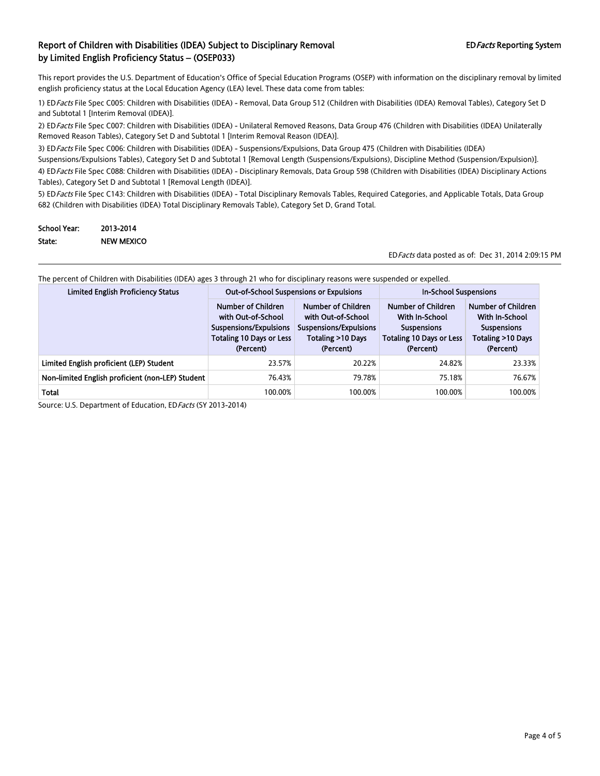This report provides the U.S. Department of Education's Office of Special Education Programs (OSEP) with information on the disciplinary removal by limited english proficiency status at the Local Education Agency (LEA) level. These data come from tables:

1) ED Facts File Spec C005: Children with Disabilities (IDEA) - Removal, Data Group 512 (Children with Disabilities (IDEA) Removal Tables), Category Set D and Subtotal 1 [Interim Removal (IDEA)].

2) ED Facts File Spec C007: Children with Disabilities (IDEA) - Unilateral Removed Reasons, Data Group 476 (Children with Disabilities (IDEA) Unilaterally Removed Reason Tables), Category Set D and Subtotal 1 [Interim Removal Reason (IDEA)].

3) ED Facts File Spec C006: Children with Disabilities (IDEA) - Suspensions/Expulsions, Data Group 475 (Children with Disabilities (IDEA) Suspensions/Expulsions Tables), Category Set D and Subtotal 1 [Removal Length (Suspensions/Expulsions), Discipline Method (Suspension/Expulsion)].

4) ED Facts File Spec C088: Children with Disabilities (IDEA) - Disciplinary Removals, Data Group 598 (Children with Disabilities (IDEA) Disciplinary Actions Tables), Category Set D and Subtotal 1 [Removal Length (IDEA)].

5) ED Facts File Spec C143: Children with Disabilities (IDEA) - Total Disciplinary Removals Tables, Required Categories, and Applicable Totals, Data Group 682 (Children with Disabilities (IDEA) Total Disciplinary Removals Table), Category Set D, Grand Total.

| <b>School Year:</b> | 2013-2014         |
|---------------------|-------------------|
| State:              | <b>NEW MEXICO</b> |

EDFacts data posted as of: Dec 31, 2014 2:09:15 PM

| The percent of Children with Disabilities (IDEA) ages 3 through 21 who for disciplinary reasons were suspended or expelled. |   |  |
|-----------------------------------------------------------------------------------------------------------------------------|---|--|
|                                                                                                                             | . |  |

| <b>Limited English Proficiency Status</b>        | <b>Out-of-School Suspensions or Expulsions</b>                                                                     |                                                                                                      | <b>In-School Suspensions</b>                                                                               |                                                                                              |
|--------------------------------------------------|--------------------------------------------------------------------------------------------------------------------|------------------------------------------------------------------------------------------------------|------------------------------------------------------------------------------------------------------------|----------------------------------------------------------------------------------------------|
|                                                  | Number of Children<br>with Out-of-School<br>Suspensions/Expulsions<br><b>Totaling 10 Days or Less</b><br>(Percent) | Number of Children<br>with Out-of-School<br>Suspensions/Expulsions<br>Totaling >10 Days<br>(Percent) | Number of Children<br>With In-School<br><b>Suspensions</b><br><b>Totaling 10 Days or Less</b><br>(Percent) | Number of Children<br>With In-School<br><b>Suspensions</b><br>Totaling >10 Days<br>(Percent) |
| Limited English proficient (LEP) Student         | 23.57%                                                                                                             | 20.22%                                                                                               | 24.82%                                                                                                     | 23.33%                                                                                       |
| Non-limited English proficient (non-LEP) Student | 76.43%                                                                                                             | 79.78%                                                                                               | 75.18%                                                                                                     | 76.67%                                                                                       |
| <b>Total</b>                                     | 100.00%                                                                                                            | 100.00%                                                                                              | 100.00%                                                                                                    | 100.00%                                                                                      |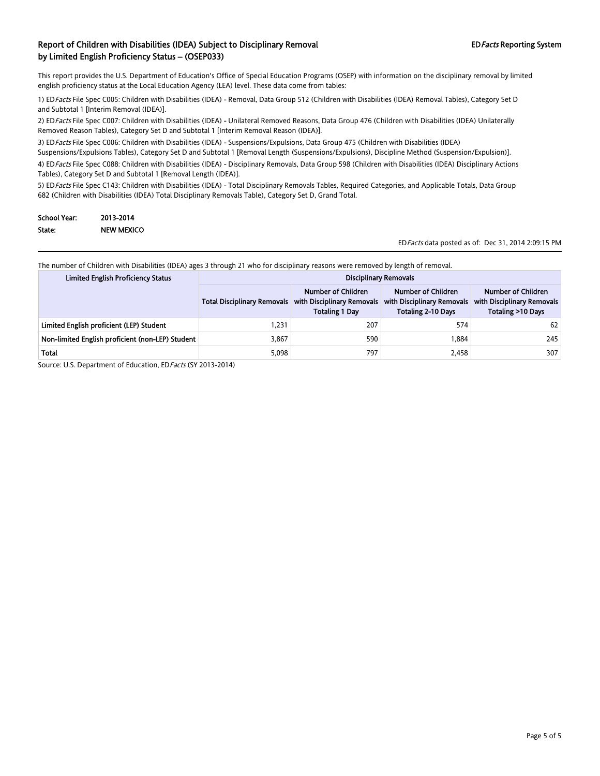This report provides the U.S. Department of Education's Office of Special Education Programs (OSEP) with information on the disciplinary removal by limited english proficiency status at the Local Education Agency (LEA) level. These data come from tables:

1) EDFacts File Spec C005: Children with Disabilities (IDEA) - Removal, Data Group 512 (Children with Disabilities (IDEA) Removal Tables), Category Set D and Subtotal 1 [Interim Removal (IDEA)].

2) EDFacts File Spec C007: Children with Disabilities (IDEA) - Unilateral Removed Reasons, Data Group 476 (Children with Disabilities (IDEA) Unilaterally Removed Reason Tables), Category Set D and Subtotal 1 [Interim Removal Reason (IDEA)].

3) ED Facts File Spec C006: Children with Disabilities (IDEA) - Suspensions/Expulsions, Data Group 475 (Children with Disabilities (IDEA)

Suspensions/Expulsions Tables), Category Set D and Subtotal 1 [Removal Length (Suspensions/Expulsions), Discipline Method (Suspension/Expulsion)].

4) EDFacts File Spec C088: Children with Disabilities (IDEA) - Disciplinary Removals, Data Group 598 (Children with Disabilities (IDEA) Disciplinary Actions Tables), Category Set D and Subtotal 1 [Removal Length (IDEA)].

5) EDFacts File Spec C143: Children with Disabilities (IDEA) - Total Disciplinary Removals Tables, Required Categories, and Applicable Totals, Data Group 682 (Children with Disabilities (IDEA) Total Disciplinary Removals Table), Category Set D, Grand Total.

| <b>School Year:</b> | 2013-2014         |
|---------------------|-------------------|
| State:              | <b>NEW MEXICO</b> |

EDFacts data posted as of: Dec 31, 2014 2:09:15 PM

The number of Children with Disabilities (IDEA) ages 3 through 21 who for disciplinary reasons were removed by length of removal.

| <b>Limited English Proficiency Status</b>        |                                    | <b>Disciplinary Removals</b>                                              |                                                                               |                                                                       |  |
|--------------------------------------------------|------------------------------------|---------------------------------------------------------------------------|-------------------------------------------------------------------------------|-----------------------------------------------------------------------|--|
|                                                  | <b>Total Disciplinary Removals</b> | Number of Children<br>with Disciplinary Removals<br><b>Totaling 1 Day</b> | Number of Children<br>with Disciplinary Removals<br><b>Totaling 2-10 Days</b> | Number of Children<br>with Disciplinary Removals<br>Totaling >10 Days |  |
| Limited English proficient (LEP) Student         | 1.231                              | 207                                                                       | 574                                                                           | 62                                                                    |  |
| Non-limited English proficient (non-LEP) Student | 3,867                              | 590                                                                       | 1.884                                                                         | 245                                                                   |  |
| Total                                            | 5,098                              | 797                                                                       | 2.458                                                                         | 307                                                                   |  |